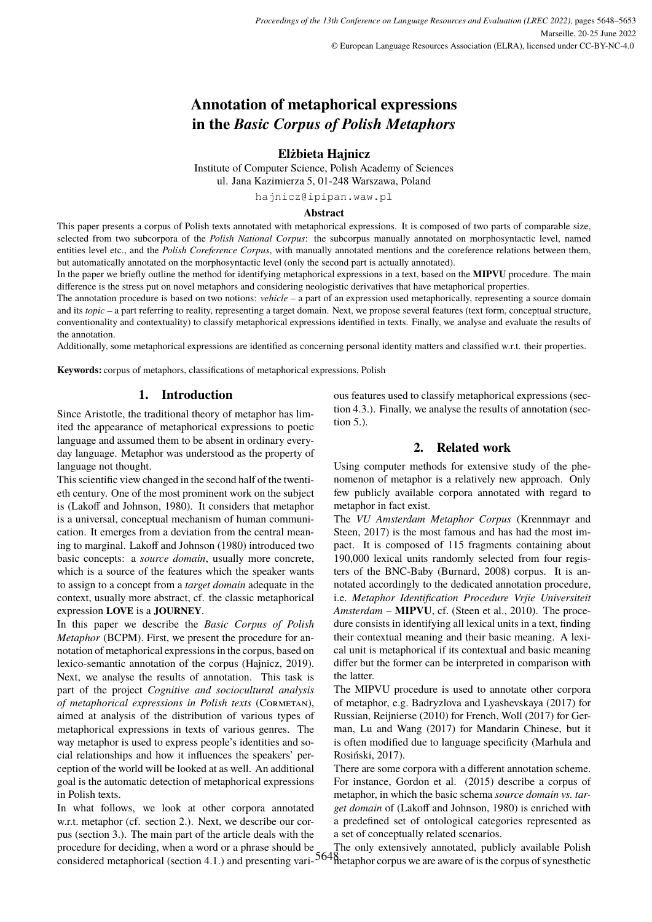# **Annotation of metaphorical expressions in the** *Basic Corpus of Polish Metaphors*

# **Elżbieta Hajnicz**

Institute of Computer Science, Polish Academy of Sciences ul. Jana Kazimierza 5, 01-248 Warszawa, Poland

hajnicz@ipipan.waw.pl

#### **Abstract**

This paper presents a corpus of Polish texts annotated with metaphorical expressions. It is composed of two parts of comparable size, selected from two subcorpora of the *Polish National Corpus*: the subcorpus manually annotated on morphosyntactic level, named entities level etc., and the *Polish Coreference Corpus*, with manually annotated mentions and the coreference relations between them, but automatically annotated on the morphosyntactic level (only the second part is actually annotated).

In the paper we briefly outline the method for identifying metaphorical expressions in a text, based on the **MIPVU** procedure. The main difference is the stress put on novel metaphors and considering neologistic derivatives that have metaphorical properties.

The annotation procedure is based on two notions: *vehicle* – a part of an expression used metaphorically, representing a source domain and its *topic* – a part referring to reality, representing a target domain. Next, we propose several features (text form, conceptual structure, conventionality and contextuality) to classify metaphorical expressions identified in texts. Finally, we analyse and evaluate the results of the annotation.

Additionally, some metaphorical expressions are identified as concerning personal identity matters and classified w.r.t. their properties.

**Keywords:** corpus of metaphors, classifications of metaphorical expressions, Polish

## **1. Introduction**

Since Aristotle, the traditional theory of metaphor has limited the appearance of metaphorical expressions to poetic language and assumed them to be absent in ordinary everyday language. Metaphor was understood as the property of language not thought.

This scientific view changed in the second half of the twentieth century. One of the most prominent work on the subject is (Lakoff and Johnson, 1980). It considers that metaphor is a universal, conceptual mechanism of human communication. It emerges from a deviation from the central meaning to marginal. Lakoff and Johnson (1980) introduced two basic concepts: a *source domain*, usually more concrete, which is a source of the features which the speaker wants to assign to a concept from a *target domain* adequate in the context, usually more abstract, cf. the classic metaphorical expression **LOVE** is a **JOURNEY**.

In this paper we describe the *Basic Corpus of Polish Metaphor* (BCPM). First, we present the procedure for annotation of metaphorical expressions in the corpus, based on lexico-semantic annotation of the corpus (Hajnicz, 2019). Next, we analyse the results of annotation. This task is part of the project *Cognitive and sociocultural analysis of metaphorical expressions in Polish texts* (Cormetan), aimed at analysis of the distribution of various types of metaphorical expressions in texts of various genres. The way metaphor is used to express people's identities and social relationships and how it influences the speakers' perception of the world will be looked at as well. An additional goal is the automatic detection of metaphorical expressions in Polish texts.

In what follows, we look at other corpora annotated w.r.t. metaphor (cf. section 2.). Next, we describe our corpus (section 3.). The main part of the article deals with the procedure for deciding, when a word or a phrase should be considered metaphorical (section 4.1.) and presenting various features used to classify metaphorical expressions (section 4.3.). Finally, we analyse the results of annotation (section 5.).

# **2. Related work**

Using computer methods for extensive study of the phenomenon of metaphor is a relatively new approach. Only few publicly available corpora annotated with regard to metaphor in fact exist.

The *VU Amsterdam Metaphor Corpus* (Krennmayr and Steen, 2017) is the most famous and has had the most impact. It is composed of 115 fragments containing about 190,000 lexical units randomly selected from four registers of the BNC-Baby (Burnard, 2008) corpus. It is annotated accordingly to the dedicated annotation procedure, i.e. *Metaphor Identification Procedure Vrjie Universiteit Amsterdam* – **MIPVU**, cf. (Steen et al., 2010). The procedure consists in identifying all lexical units in a text, finding their contextual meaning and their basic meaning. A lexical unit is metaphorical if its contextual and basic meaning differ but the former can be interpreted in comparison with the latter.

The MIPVU procedure is used to annotate other corpora of metaphor, e.g. Badryzlova and Lyashevskaya (2017) for Russian, Reijnierse (2010) for French, Woll (2017) for German, Lu and Wang (2017) for Mandarin Chinese, but it is often modified due to language specificity (Marhula and Rosiński, 2017).

There are some corpora with a different annotation scheme. For instance, Gordon et al. (2015) describe a corpus of metaphor, in which the basic schema *source domain vs. target domain* of (Lakoff and Johnson, 1980) is enriched with a predefined set of ontological categories represented as a set of conceptually related scenarios.

5648 metaphor corpus we are aware of is the corpus of synestheticThe only extensively annotated, publicly available Polish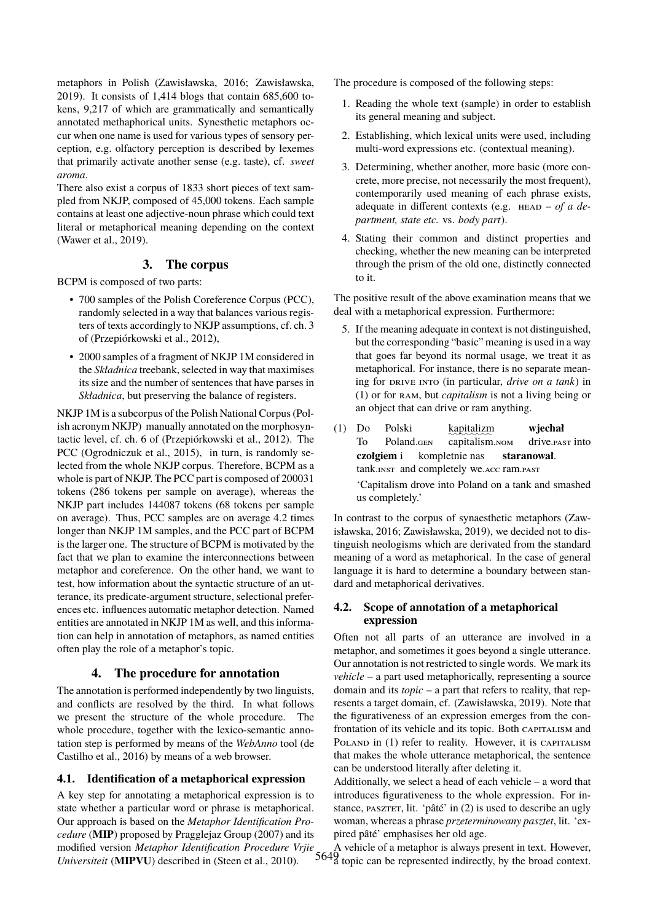metaphors in Polish (Zawisławska, 2016; Zawisławska, 2019). It consists of 1,414 blogs that contain 685,600 tokens, 9,217 of which are grammatically and semantically annotated methaphorical units. Synesthetic metaphors occur when one name is used for various types of sensory perception, e.g. olfactory perception is described by lexemes that primarily activate another sense (e.g. taste), cf. *sweet aroma*.

There also exist a corpus of 1833 short pieces of text sampled from NKJP, composed of 45,000 tokens. Each sample contains at least one adjective-noun phrase which could text literal or metaphorical meaning depending on the context (Wawer et al., 2019).

# **3. The corpus**

BCPM is composed of two parts:

- 700 samples of the Polish Coreference Corpus (PCC), randomly selected in a way that balances various registers of texts accordingly to NKJP assumptions, cf. ch. 3 of (Przepiórkowski et al., 2012),
- 2000 samples of a fragment of NKJP 1M considered in the *Składnica* treebank, selected in way that maximises its size and the number of sentences that have parses in *Składnica*, but preserving the balance of registers.

NKJP 1M is a subcorpus of the Polish National Corpus (Polish acronym NKJP) manually annotated on the morphosyntactic level, cf. ch. 6 of (Przepiórkowski et al., 2012). The PCC (Ogrodniczuk et al., 2015), in turn, is randomly selected from the whole NKJP corpus. Therefore, BCPM as a whole is part of NKJP. The PCC part is composed of 200031 tokens (286 tokens per sample on average), whereas the NKJP part includes 144087 tokens (68 tokens per sample on average). Thus, PCC samples are on average 4.2 times longer than NKJP 1M samples, and the PCC part of BCPM is the larger one. The structure of BCPM is motivated by the fact that we plan to examine the interconnections between metaphor and coreference. On the other hand, we want to test, how information about the syntactic structure of an utterance, its predicate-argument structure, selectional preferences etc. influences automatic metaphor detection. Named entities are annotated in NKJP 1M as well, and this information can help in annotation of metaphors, as named entities often play the role of a metaphor's topic.

# **4. The procedure for annotation**

The annotation is performed independently by two linguists, and conflicts are resolved by the third. In what follows we present the structure of the whole procedure. The whole procedure, together with the lexico-semantic annotation step is performed by means of the *WebAnno* tool (de Castilho et al., 2016) by means of a web browser.

#### **4.1. Identification of a metaphorical expression**

A key step for annotating a metaphorical expression is to state whether a particular word or phrase is metaphorical. Our approach is based on the *Metaphor Identification Procedure* (**MIP**) proposed by Pragglejaz Group (2007) and its modified version *Metaphor Identification Procedure Vrjie Universiteit* (**MIPVU**) described in (Steen et al., 2010).

The procedure is composed of the following steps:

- 1. Reading the whole text (sample) in order to establish its general meaning and subject.
- 2. Establishing, which lexical units were used, including multi-word expressions etc. (contextual meaning).
- 3. Determining, whether another, more basic (more concrete, more precise, not necessarily the most frequent), contemporarily used meaning of each phrase exists, adequate in different contexts (e.g. HEAD – of a de*partment, state etc.* vs. *body part*).
- 4. Stating their common and distinct properties and checking, whether the new meaning can be interpreted through the prism of the old one, distinctly connected to it.

The positive result of the above examination means that we deal with a metaphorical expression. Furthermore:

- 5. If the meaning adequate in context is not distinguished, but the corresponding "basic" meaning is used in a way that goes far beyond its normal usage, we treat it as metaphorical. For instance, there is no separate meaning for DRIVE INTO (in particular, *drive on a tank*) in (1) or for ram, but *capitalism* is not a living being or an object that can drive or ram anything.
- (1) Do To Polski Poland.<sub>GEN</sub> kapitalizm capitalism.nom **wjechał** drive.past into **czołgiem** i tank.INST and completely we.ACC ram.PAST kompletnie nas **staranował**.

'Capitalism drove into Poland on a tank and smashed us completely.'

In contrast to the corpus of synaesthetic metaphors (Zawisławska, 2016; Zawisławska, 2019), we decided not to distinguish neologisms which are derivated from the standard meaning of a word as metaphorical. In the case of general language it is hard to determine a boundary between standard and metaphorical derivatives.

#### **4.2. Scope of annotation of a metaphorical expression**

Often not all parts of an utterance are involved in a metaphor, and sometimes it goes beyond a single utterance. Our annotation is not restricted to single words. We mark its *vehicle* – a part used metaphorically, representing a source domain and its *topic* – a part that refers to reality, that represents a target domain, cf. (Zawisławska, 2019). Note that the figurativeness of an expression emerges from the confrontation of its vehicle and its topic. Both CAPITALISM and POLAND in (1) refer to reality. However, it is CAPITALISM that makes the whole utterance metaphorical, the sentence can be understood literally after deleting it.

Additionally, we select a head of each vehicle – a word that introduces figurativeness to the whole expression. For instance, pasztet, lit. 'pâté' in (2) is used to describe an ugly woman, whereas a phrase *przeterminowany pasztet*, lit. 'expired pâté' emphasises her old age.

5649 a topic can be represented indirectly, by the broad context.A vehicle of a metaphor is always present in text. However,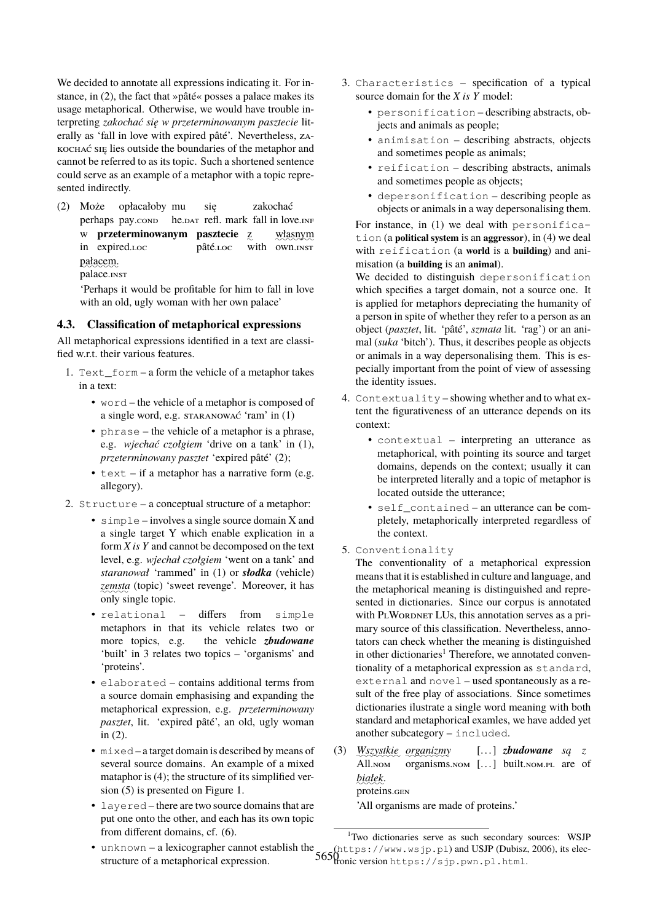We decided to annotate all expressions indicating it. For instance, in (2), the fact that »pâté« posses a palace makes its usage metaphorical. Otherwise, we would have trouble interpreting *zakochać się w przeterminowanym pasztecie* literally as 'fall in love with expired pâté'. Nevertheless, zakochać się lies outside the boundaries of the metaphor and cannot be referred to as its topic. Such a shortened sentence could serve as an example of a metaphor with a topic represented indirectly.

(2) Może perhaps pay.cond opłacałoby mu he.DAT refl. mark fall in love.INF się zakochać w **przeterminowanym pasztecie** z in expired.loc pâté.loc with own.inst własnym pałacem. palace.inst

'Perhaps it would be profitable for him to fall in love with an old, ugly woman with her own palace'

## **4.3. Classification of metaphorical expressions**

All metaphorical expressions identified in a text are classified w.r.t. their various features.

- 1. Text\_form a form the vehicle of a metaphor takes in a text:
	- word the vehicle of a metaphor is composed of a single word, e.g. staranować 'ram' in (1)
	- phrase the vehicle of a metaphor is a phrase, e.g. *wjechać czołgiem* 'drive on a tank' in (1), *przeterminowany pasztet* 'expired pâté' (2);
	- $\bullet$  text if a metaphor has a narrative form (e.g. allegory).
- 2. Structure a conceptual structure of a metaphor:
	- simple involves a single source domain X and a single target Y which enable explication in a form *X is Y* and cannot be decomposed on the text level, e.g. *wjechał czołgiem* 'went on a tank' and *staranował* 'rammed' in (1) or *słodka* (vehicle) zemsta (topic) 'sweet revenge'. Moreover, it has only single topic.
	- relational differs from simple metaphors in that its vehicle relates two or more topics, e.g. the vehicle *zbudowane* 'built' in 3 relates two topics – 'organisms' and 'proteins'.
	- elaborated contains additional terms from a source domain emphasising and expanding the metaphorical expression, e.g. *przeterminowany pasztet*, lit. 'expired pâté', an old, ugly woman in (2).
	- mixed a target domain is described by means of several source domains. An example of a mixed mataphor is (4); the structure of its simplified version (5) is presented on Figure 1.
	- layered there are two source domains that are put one onto the other, and each has its own topic from different domains, cf. (6).
- 3. Characteristics specification of a typical source domain for the *X is Y* model:
	- personification describing abstracts, objects and animals as people;
	- animisation describing abstracts, objects and sometimes people as animals;
	- reification describing abstracts, animals and sometimes people as objects;
	- depersonification describing people as objects or animals in a way depersonalising them.

For instance, in (1) we deal with personification (a **political system** is an **aggressor**), in (4) we deal with reification (a **world** is a **building**) and animisation (a **building** is an **animal**).

We decided to distinguish depersonification which specifies a target domain, not a source one. It is applied for metaphors depreciating the humanity of a person in spite of whether they refer to a person as an object (*pasztet*, lit. 'pâté', *szmata* lit. 'rag') or an animal (*suka* 'bitch'). Thus, it describes people as objects or animals in a way depersonalising them. This is especially important from the point of view of assessing the identity issues.

- 4. Contextuality showing whether and to what extent the figurativeness of an utterance depends on its context:
	- contextual interpreting an utterance as metaphorical, with pointing its source and target domains, depends on the context; usually it can be interpreted literally and a topic of metaphor is located outside the utterance;
	- self contained an utterance can be completely, metaphorically interpreted regardless of the context.
- 5. Conventionality

The conventionality of a metaphorical expression means that it is established in culture and language, and the metaphorical meaning is distinguished and represented in dictionaries. Since our corpus is annotated with PLWORDNET LUs, this annotation serves as a primary source of this classification. Nevertheless, annotators can check whether the meaning is distinguished in other dictionaries<sup>1</sup> Therefore, we annotated conventionality of a metaphorical expression as standard, external and novel – used spontaneously as a result of the free play of associations. Since sometimes dictionaries ilustrate a single word meaning with both standard and metaphorical examles, we have added yet another subcategory – included.

(3) ✿✿✿✿✿✿✿✿ *Wszystkie* ✿✿✿✿✿✿✿✿ *organizmy* All.nom organisms.nom [...] built.nom.pl are of [. . . ] *zbudowane są z* ✿✿✿✿✿ *białek*. proteins.gen

'All organisms are made of proteins.'

 $5650$ (https://www.wsjp.pl) and USJP (Dubisz, 2006), its elec-<br> $5650$  conject version bttps://sip.pwn.pl.html • unknown – a lexicographer cannot establish the structure of a metaphorical expression. <sup>1</sup>Two dictionaries serve as such secondary sources: WSJP tronic version https://sjp.pwn.pl.html.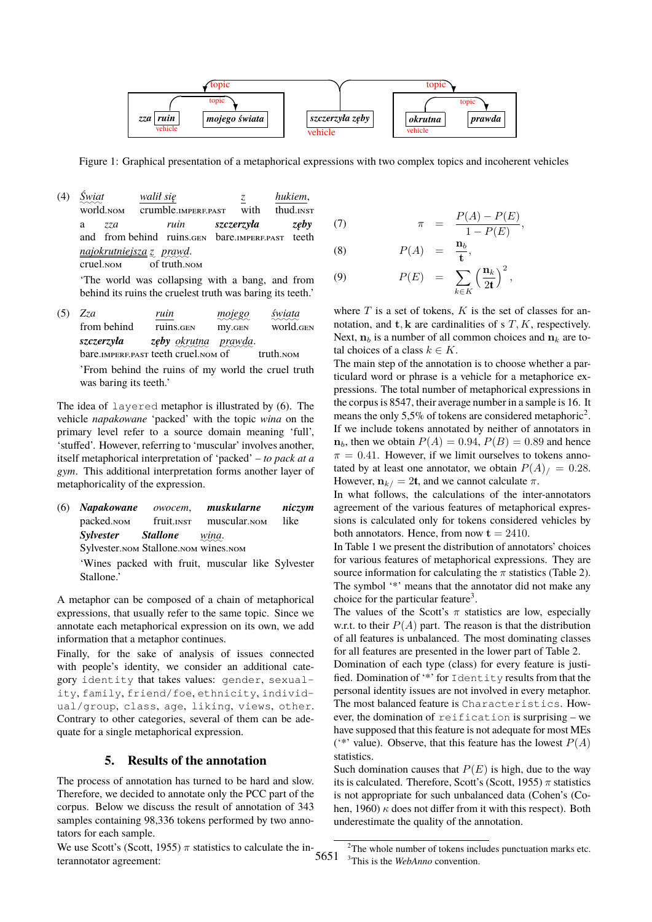

Figure 1: Graphical presentation of a metaphorical expressions with two complex topics and incoherent vehicles

(4) ✿✿✿✿ *Świat* world.nom *walił się* crumble.imperf.past *z* with *hukiem*, thud.inst a and from behind ruins.GEN bare.IMPERF.PAST *zza ruin szczerzyła zęby* teeth *najokrutniejsza* ✿ *z* ✿✿✿✿✿ *prawd*. cruel.nom of truth.nom

'The world was collapsing with a bang, and from behind its ruins the cruelest truth was baring its teeth.'

(5) *Zza* from behind *ruin* ruins.gen ✿✿✿✿✿✿ *mojego* my.gen ✿✿✿✿✿ *świata* world.gen *szczerzyła* bare. IMPERF. PAST teeth cruel. NOM *zęby* ✿✿✿✿✿✿ *okrutna* ✿✿✿✿✿✿ *prawda*. truth.<sub>NOM</sub>

'From behind the ruins of my world the cruel truth was baring its teeth.'

The idea of layered metaphor is illustrated by (6). The vehicle *napakowane* 'packed' with the topic *wina* on the primary level refer to a source domain meaning 'full', 'stuffed'. However, referring to 'muscular' involves another, itself metaphorical interpretation of 'packed' – *to pack at a gym*. This additional interpretation forms another layer of metaphoricality of the expression.

(6) *Napakowane* packed.nom *owocem*, fruit.inst *muskularne* muscular.nom *niczym* like *Sylvester* Sylvester. Statistic Metal *Stallone wina*.

'Wines packed with fruit, muscular like Sylvester Stallone.'

A metaphor can be composed of a chain of metaphorical expressions, that usually refer to the same topic. Since we annotate each metaphorical expression on its own, we add information that a metaphor continues.

Finally, for the sake of analysis of issues connected with people's identity, we consider an additional category identity that takes values: gender, sexuality, family, friend/foe, ethnicity, individual/group, class, age, liking, views, other. Contrary to other categories, several of them can be adequate for a single metaphorical expression.

# **5. Results of the annotation**

The process of annotation has turned to be hard and slow. Therefore, we decided to annotate only the PCC part of the corpus. Below we discuss the result of annotation of 343 samples containing 98,336 tokens performed by two annotators for each sample.

(7) 
$$
\pi = \frac{P(A) - P(E)}{1 - P(E)},
$$

$$
(8) \hspace{1cm} P(A) = \frac{\mathbf{n}_b}{\mathbf{t}},
$$

(9) 
$$
P(E) = \sum_{k \in K} \left(\frac{\mathbf{n}_k}{2\mathbf{t}}\right)^2,
$$

where  $T$  is a set of tokens,  $K$  is the set of classes for annotation, and  $t$ ,  $k$  are cardinalities of s  $T$ ,  $K$ , respectively. Next,  $n_b$  is a number of all common choices and  $n_k$  are total choices of a class  $k \in K$ .

The main step of the annotation is to choose whether a particulard word or phrase is a vehicle for a metaphorice expressions. The total number of metaphorical expressions in the corpus is 8547, their average number in a sample is 16. It means the only 5,5% of tokens are considered metaphoric<sup>2</sup>. If we include tokens annotated by neither of annotators in  $n_b$ , then we obtain  $P(A) = 0.94$ ,  $P(B) = 0.89$  and hence  $\pi = 0.41$ . However, if we limit ourselves to tokens annotated by at least one annotator, we obtain  $P(A)$  = 0.28. However,  $n_{k/} = 2t$ , and we cannot calculate  $\pi$ .

In what follows, the calculations of the inter-annotators agreement of the various features of metaphorical expressions is calculated only for tokens considered vehicles by both annotators. Hence, from now  $t = 2410$ .

In Table 1 we present the distribution of annotators' choices for various features of metaphorical expressions. They are source information for calculating the  $\pi$  statistics (Table 2). The symbol '\*' means that the annotator did not make any choice for the particular feature<sup>3</sup>.

The values of the Scott's  $\pi$  statistics are low, especially w.r.t. to their  $P(A)$  part. The reason is that the distribution of all features is unbalanced. The most dominating classes for all features are presented in the lower part of Table 2.

Domination of each type (class) for every feature is justified. Domination of '\*' for Identity results from that the personal identity issues are not involved in every metaphor. The most balanced feature is Characteristics. However, the domination of reification is surprising – we have supposed that this feature is not adequate for most MEs (\*\*' value). Observe, that this feature has the lowest  $P(A)$ statistics.

Such domination causes that  $P(E)$  is high, due to the way its is calculated. Therefore, Scott's (Scott, 1955)  $\pi$  statistics is not appropriate for such unbalanced data (Cohen's (Cohen, 1960)  $\kappa$  does not differ from it with this respect). Both underestimate the quality of the annotation.

We use Scott's (Scott, 1955)  $\pi$  statistics to calculate the interannotator agreement:

5651 <sup>3</sup>This is the *WebAnno* convention. $2$ The whole number of tokens includes punctuation marks etc.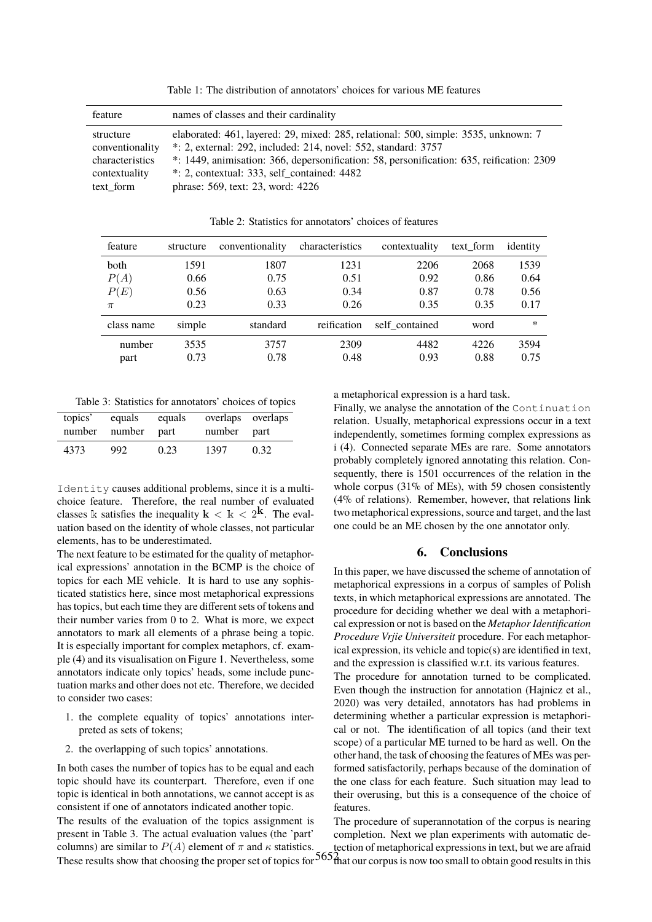Table 1: The distribution of annotators' choices for various ME features

| feature         | names of classes and their cardinality                                                    |
|-----------------|-------------------------------------------------------------------------------------------|
| structure       | elaborated: 461, layered: 29, mixed: 285, relational: 500, simple: 3535, unknown: 7       |
| conventionality | $*$ : 2, external: 292, included: 214, novel: 552, standard: 3757                         |
| characteristics | *: 1449, animisation: 366, depersonification: 58, personification: 635, reification: 2309 |
| contextuality   | $\cdot$ : 2, contextual: 333, self contained: 4482                                        |
| text form       | phrase: 569, text: 23, word: 4226                                                         |

| feature    | structure | conventionality | characteristics | contextuality  | text form | identity |
|------------|-----------|-----------------|-----------------|----------------|-----------|----------|
| both       | 1591      | 1807            | 1231            | 2206           | 2068      | 1539     |
| P(A)       | 0.66      | 0.75            | 0.51            | 0.92           | 0.86      | 0.64     |
| P(E)       | 0.56      | 0.63            | 0.34            | 0.87           | 0.78      | 0.56     |
| $\pi$      | 0.23      | 0.33            | 0.26            | 0.35           | 0.35      | 0.17     |
| class name | simple    | standard        | reification     | self contained | word      | $\ast$   |
| number     | 3535      | 3757            | 2309            | 4482           | 4226      | 3594     |
| part       | 0.73      | 0.78            | 0.48            | 0.93           | 0.88      | 0.75     |

Table 2: Statistics for annotators' choices of features

Table 3: Statistics for annotators' choices of topics

| topics'<br>number number | equals | equals<br>part | overlaps overlaps<br>number part |      |
|--------------------------|--------|----------------|----------------------------------|------|
| 4373                     | 992    | 0.23           | 1397                             | 0.32 |

Identity causes additional problems, since it is a multichoice feature. Therefore, the real number of evaluated classes k satisfies the inequality  $k < k < 2^k$ . The evaluation based on the identity of whole classes, not particular elements, has to be underestimated.

The next feature to be estimated for the quality of metaphorical expressions' annotation in the BCMP is the choice of topics for each ME vehicle. It is hard to use any sophisticated statistics here, since most metaphorical expressions has topics, but each time they are different sets of tokens and their number varies from 0 to 2. What is more, we expect annotators to mark all elements of a phrase being a topic. It is especially important for complex metaphors, cf. example (4) and its visualisation on Figure 1. Nevertheless, some annotators indicate only topics' heads, some include punctuation marks and other does not etc. Therefore, we decided to consider two cases:

- 1. the complete equality of topics' annotations interpreted as sets of tokens;
- 2. the overlapping of such topics' annotations.

These results show that choosing the proper set of topics for  $565\frac{2}{100}$  at our corpus is now too small to obtain good results in this In both cases the number of topics has to be equal and each topic should have its counterpart. Therefore, even if one topic is identical in both annotations, we cannot accept is as consistent if one of annotators indicated another topic. The results of the evaluation of the topics assignment is present in Table 3. The actual evaluation values (the 'part' columns) are similar to  $P(A)$  element of  $\pi$  and  $\kappa$  statistics.

a metaphorical expression is a hard task.

Finally, we analyse the annotation of the Continuation relation. Usually, metaphorical expressions occur in a text independently, sometimes forming complex expressions as i (4). Connected separate MEs are rare. Some annotators probably completely ignored annotating this relation. Consequently, there is 1501 occurrences of the relation in the whole corpus (31% of MEs), with 59 chosen consistently (4% of relations). Remember, however, that relations link two metaphorical expressions, source and target, and the last one could be an ME chosen by the one annotator only.

# **6. Conclusions**

In this paper, we have discussed the scheme of annotation of metaphorical expressions in a corpus of samples of Polish texts, in which metaphorical expressions are annotated. The procedure for deciding whether we deal with a metaphorical expression or not is based on the *Metaphor Identification Procedure Vrjie Universiteit* procedure. For each metaphorical expression, its vehicle and topic(s) are identified in text, and the expression is classified w.r.t. its various features.

The procedure for annotation turned to be complicated. Even though the instruction for annotation (Hajnicz et al., 2020) was very detailed, annotators has had problems in determining whether a particular expression is metaphorical or not. The identification of all topics (and their text scope) of a particular ME turned to be hard as well. On the other hand, the task of choosing the features of MEs was performed satisfactorily, perhaps because of the domination of the one class for each feature. Such situation may lead to their overusing, but this is a consequence of the choice of features.

The procedure of superannotation of the corpus is nearing completion. Next we plan experiments with automatic detection of metaphorical expressions in text, but we are afraid